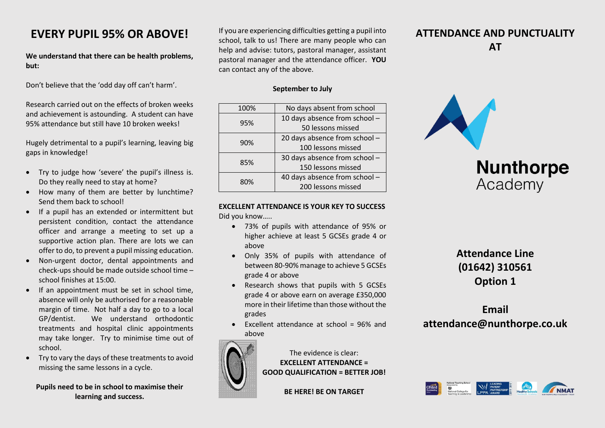## **EVERY PUPIL 95% OR ABOVE!**

**We understand that there can be health problems, but:**

Don't believe that the 'odd day off can't harm'.

Research carried out on the effects of broken weeks and achievement is astounding. A student can have 95% attendance but still have 10 broken weeks!

Hugely detrimental to a pupil's learning, leaving big gaps in knowledge!

- Try to judge how 'severe' the pupil's illness is. Do they really need to stay at home?
- How many of them are better by lunchtime? Send them back to school!
- If a pupil has an extended or intermittent but persistent condition, contact the attendance officer and arrange a meeting to set up a supportive action plan. There are lots we can offer to do, to prevent a pupil missing education.
- Non-urgent doctor, dental appointments and check-ups should be made outside school time – school finishes at 15:00.
- $\bullet$  If an appointment must be set in school time. absence will only be authorised for a reasonable margin of time. Not half a day to go to a local GP/dentist. We understand orthodontic treatments and hospital clinic appointments may take longer. Try to minimise time out of school.
- Try to vary the days of these treatments to avoid missing the same lessons in a cycle.

### **Pupils need to be in school to maximise their learning and success.**

If you are experiencing difficulties getting a pupil into school, talk to us! There are many people who can help and advise: tutors, pastoral manager, assistant pastoral manager and the attendance officer. **YOU** can contact any of the above.

### **September to July**

| 100% | No days absent from school    |
|------|-------------------------------|
| 95%  | 10 days absence from school - |
|      | 50 lessons missed             |
| 90%  | 20 days absence from school - |
|      | 100 lessons missed            |
| 85%  | 30 days absence from school - |
|      | 150 lessons missed            |
| 80%  | 40 days absence from school - |
|      | 200 lessons missed            |

#### **EXCELLENT ATTENDANCE IS YOUR KEY TO SUCCESS** Did you know…..

- 73% of pupils with attendance of 95% or higher achieve at least 5 GCSEs grade 4 or above
- Only 35% of pupils with attendance of between 80-90% manage to achieve 5 GCSEs grade 4 or above
- Research shows that pupils with 5 GCSEs grade 4 or above earn on average £350,000 more in their lifetime than those without the grades
- $\bullet$  Excellent attendance at school = 96% and above



The evidence is clear: **EXCELLENT ATTENDANCE = GOOD QUALIFICATION = BETTER JOB!**

**BE HERE! BE ON TARGET**

### **ATTENDANCE AND PUNCTUALITY AT**



## **Attendance Line (01642) 310561 Option 1**

# **Email attendance@nunthorpe.co.uk**